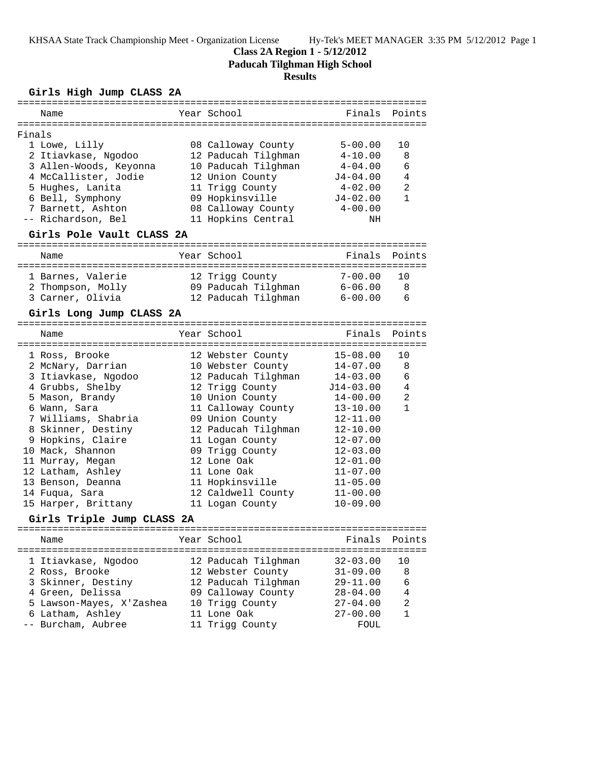#### **Class 2A Region 1 - 5/12/2012**

**Paducah Tilghman High School**

### **Results**

#### **Girls High Jump CLASS 2A**

|        | ==========                           |  | =================================        |              |                |  |  |
|--------|--------------------------------------|--|------------------------------------------|--------------|----------------|--|--|
|        | Name                                 |  | Year School                              | Finals       | Points         |  |  |
| Finals |                                      |  |                                          |              |                |  |  |
|        | 1 Lowe, Lilly                        |  | 08 Calloway County                       | $5 - 00.00$  | 10             |  |  |
|        | 2 Itiavkase, Ngodoo                  |  | 12 Paducah Tilghman                      | $4 - 10.00$  | 8              |  |  |
|        | 3 Allen-Woods, Keyonna               |  | 10 Paducah Tilghman                      | $4 - 04.00$  | 6              |  |  |
|        | 4 McCallister, Jodie                 |  | 12 Union County                          | $J4 - 04.00$ | 4              |  |  |
|        | 5 Hughes, Lanita                     |  | 11 Trigg County                          | $4 - 02.00$  | $\overline{a}$ |  |  |
|        | 6 Bell, Symphony                     |  | 09 Hopkinsville                          | $J4 - 02.00$ | $\mathbf{1}$   |  |  |
|        | 7 Barnett, Ashton                    |  | 08 Calloway County                       | $4 - 00.00$  |                |  |  |
|        | -- Richardson, Bel                   |  | 11 Hopkins Central                       | NH           |                |  |  |
|        | Girls Pole Vault CLASS 2A            |  |                                          |              |                |  |  |
|        | Name                                 |  | Year School                              | Finals       | Points         |  |  |
|        | 1 Barnes, Valerie                    |  | 12 Trigg County                          | $7 - 00.00$  | 10             |  |  |
|        | 2 Thompson, Molly                    |  | 09 Paducah Tilghman                      | 6-06.00      | 8              |  |  |
|        | 3 Carner, Olivia                     |  | 12 Paducah Tilghman                      | $6 - 00.00$  | 6              |  |  |
|        | Girls Long Jump CLASS 2A             |  |                                          |              |                |  |  |
|        |                                      |  |                                          |              |                |  |  |
|        | Name                                 |  | Year School                              | Finals       | Points         |  |  |
|        | 1 Ross, Brooke                       |  | 12 Webster County                        | $15 - 08.00$ | 10             |  |  |
|        | 2 McNary, Darrian                    |  | 10 Webster County                        | $14 - 07.00$ | 8              |  |  |
|        | 3 Itiavkase, Ngodoo                  |  | 12 Paducah Tilghman                      | $14 - 03.00$ | 6              |  |  |
|        | 4 Grubbs, Shelby                     |  | 12 Trigg County                          | $J14-03.00$  | 4              |  |  |
|        | 5 Mason, Brandy                      |  | 10 Union County                          | $14 - 00.00$ | 2              |  |  |
|        | 6 Wann, Sara                         |  | 11 Calloway County                       | $13 - 10.00$ | $\mathbf{1}$   |  |  |
|        | 7 Williams, Shabria                  |  | 09 Union County                          | $12 - 11.00$ |                |  |  |
|        | 8 Skinner, Destiny                   |  | 12 Paducah Tilghman                      | $12 - 10.00$ |                |  |  |
|        | 9 Hopkins, Claire                    |  | 11 Logan County                          | $12 - 07.00$ |                |  |  |
|        | 10 Mack, Shannon                     |  | 09 Trigg County                          | $12 - 03.00$ |                |  |  |
|        | 11 Murray, Megan                     |  | 12 Lone Oak                              | $12 - 01.00$ |                |  |  |
|        | 12 Latham, Ashley                    |  | 11 Lone Oak                              | $11 - 07.00$ |                |  |  |
|        | 13 Benson, Deanna                    |  | 11 Hopkinsville                          | $11 - 05.00$ |                |  |  |
|        | 14 Fuqua, Sara                       |  | 12 Caldwell County                       | $11 - 00.00$ |                |  |  |
|        | 15 Harper, Brittany                  |  | 11 Logan County                          | $10 - 09.00$ |                |  |  |
|        | Girls Triple Jump CLASS 2A           |  |                                          |              |                |  |  |
|        | Name                                 |  | Year School                              | Finals       | Points         |  |  |
|        |                                      |  |                                          | $32 - 03.00$ | 10             |  |  |
|        | 1 Itiavkase, Ngodoo                  |  | 12 Paducah Tilghman<br>12 Webster County | $31 - 09.00$ | 8              |  |  |
|        | 2 Ross, Brooke<br>3 Skinner, Destiny |  | 12 Paducah Tilghman                      | $29 - 11.00$ | 6              |  |  |
|        |                                      |  |                                          |              |                |  |  |

 4 Green, Delissa 09 Calloway County 28-04.00 4 5 Lawson-Mayes, X'Zashea 10 Trigg County 27-04.00 2 6 Latham, Ashley 11 Lone Oak 27-00.00 1 -- Burcham, Aubree 11 Trigg County FOUL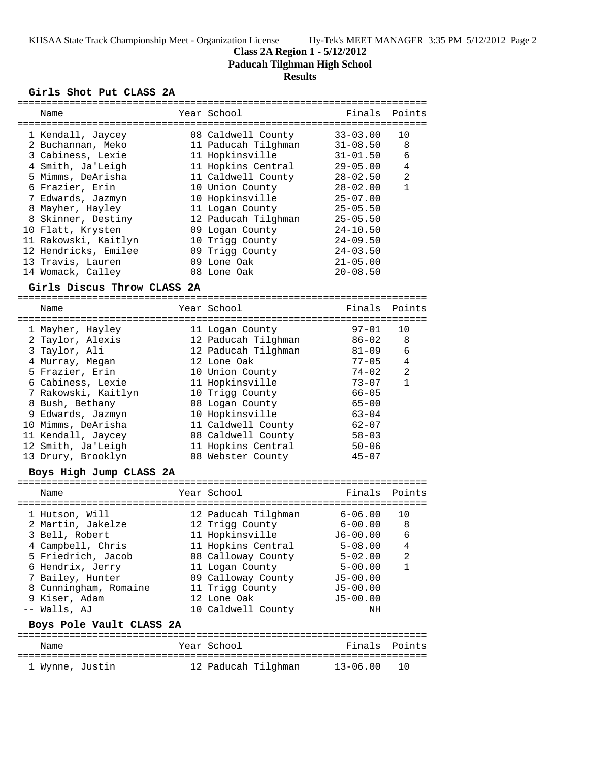## **Class 2A Region 1 - 5/12/2012**

**Paducah Tilghman High School**

# **Results**

#### **Girls Shot Put CLASS 2A**

|                          |                             |  |                     | --------------- |                |  |
|--------------------------|-----------------------------|--|---------------------|-----------------|----------------|--|
|                          | Name                        |  | Year School         | Finals          | Points         |  |
|                          |                             |  |                     |                 |                |  |
|                          | 1 Kendall, Jaycey           |  | 08 Caldwell County  | $33 - 03.00$    | 10             |  |
|                          | 2 Buchannan, Meko           |  | 11 Paducah Tilghman | $31 - 08.50$    | 8              |  |
|                          | 3 Cabiness, Lexie           |  | 11 Hopkinsville     | $31 - 01.50$    | 6              |  |
|                          | 4 Smith, Ja'Leigh           |  | 11 Hopkins Central  | $29 - 05.00$    | 4              |  |
|                          | 5 Mimms, DeArisha           |  | 11 Caldwell County  | $28 - 02.50$    | $\overline{2}$ |  |
|                          | 6 Frazier, Erin             |  | 10 Union County     | $28 - 02.00$    | 1              |  |
|                          | 7 Edwards, Jazmyn           |  | 10 Hopkinsville     | $25 - 07.00$    |                |  |
|                          | 8 Mayher, Hayley            |  | 11 Logan County     | $25 - 05.50$    |                |  |
|                          | 8 Skinner, Destiny          |  | 12 Paducah Tilghman | $25 - 05.50$    |                |  |
|                          | 10 Flatt, Krysten           |  | 09 Logan County     | $24 - 10.50$    |                |  |
|                          | 11 Rakowski, Kaitlyn        |  | 10 Trigg County     | $24 - 09.50$    |                |  |
|                          | 12 Hendricks, Emilee        |  | 09 Trigg County     | $24 - 03.50$    |                |  |
|                          | 13 Travis, Lauren           |  | 09 Lone Oak         | $21 - 05.00$    |                |  |
|                          | 14 Womack, Calley           |  | 08 Lone Oak         | $20 - 08.50$    |                |  |
|                          |                             |  |                     |                 |                |  |
|                          | Girls Discus Throw CLASS 2A |  |                     |                 |                |  |
|                          | Name                        |  | Year School         | Finals          | Points         |  |
|                          |                             |  |                     | =============   |                |  |
|                          | 1 Mayher, Hayley            |  | 11 Logan County     | $97 - 01$       | 10             |  |
|                          | 2 Taylor, Alexis            |  | 12 Paducah Tilghman | $86 - 02$       | 8              |  |
|                          | 3 Taylor, Ali               |  | 12 Paducah Tilghman | $81 - 09$       | 6              |  |
|                          | 4 Murray, Megan             |  | 12 Lone Oak         | $77 - 05$       | 4              |  |
|                          | 5 Frazier, Erin             |  | 10 Union County     | $74 - 02$       | 2              |  |
|                          | 6 Cabiness, Lexie           |  | 11 Hopkinsville     | $73 - 07$       | $\mathbf{1}$   |  |
|                          | 7 Rakowski, Kaitlyn         |  | 10 Trigg County     | $66 - 05$       |                |  |
|                          | 8 Bush, Bethany             |  | 08 Logan County     | $65 - 00$       |                |  |
|                          |                             |  |                     | $63 - 04$       |                |  |
|                          | 9 Edwards, Jazmyn           |  | 10 Hopkinsville     |                 |                |  |
|                          | 10 Mimms, DeArisha          |  | 11 Caldwell County  | $62 - 07$       |                |  |
|                          | 11 Kendall, Jaycey          |  | 08 Caldwell County  | $58 - 03$       |                |  |
|                          | 12 Smith, Ja'Leigh          |  | 11 Hopkins Central  | $50 - 06$       |                |  |
|                          | 13 Drury, Brooklyn          |  | 08 Webster County   | $45 - 07$       |                |  |
| Boys High Jump CLASS 2A  |                             |  |                     |                 |                |  |
|                          |                             |  |                     |                 |                |  |
|                          | Name                        |  | Year School         | Finals          | Points         |  |
|                          | 1 Hutson, Will              |  | 12 Paducah Tilghman | $6 - 06.00$     | 10             |  |
|                          | 2 Martin, Jakelze           |  | 12 Trigg County     | $6 - 00.00$     | 8              |  |
|                          | 3 Bell, Robert              |  | 11 Hopkinsville     | $J6 - 00.00$    | 6              |  |
|                          | 4 Campbell, Chris           |  | 11 Hopkins Central  | $5 - 08.00$     | 4              |  |
|                          | 5 Friedrich, Jacob          |  |                     | $5 - 02.00$     | 2              |  |
|                          |                             |  | 08 Calloway County  |                 | $\mathbf{1}$   |  |
|                          | 6 Hendrix, Jerry            |  | 11 Logan County     | $5 - 00.00$     |                |  |
|                          | 7 Bailey, Hunter            |  | 09 Calloway County  | $J5 - 00.00$    |                |  |
|                          | 8 Cunningham, Romaine       |  | 11 Trigg County     | $J5 - 00.00$    |                |  |
|                          | 9 Kiser, Adam               |  | 12 Lone Oak         | J5-00.00        |                |  |
|                          | -- Walls, AJ                |  | 10 Caldwell County  | NH              |                |  |
| Boys Pole Vault CLASS 2A |                             |  |                     |                 |                |  |
|                          |                             |  | Year School         |                 |                |  |
|                          | Name                        |  |                     | Finals          | Points         |  |
|                          | 1 Wynne, Justin             |  | 12 Paducah Tilghman | $13 - 06.00$    | 10             |  |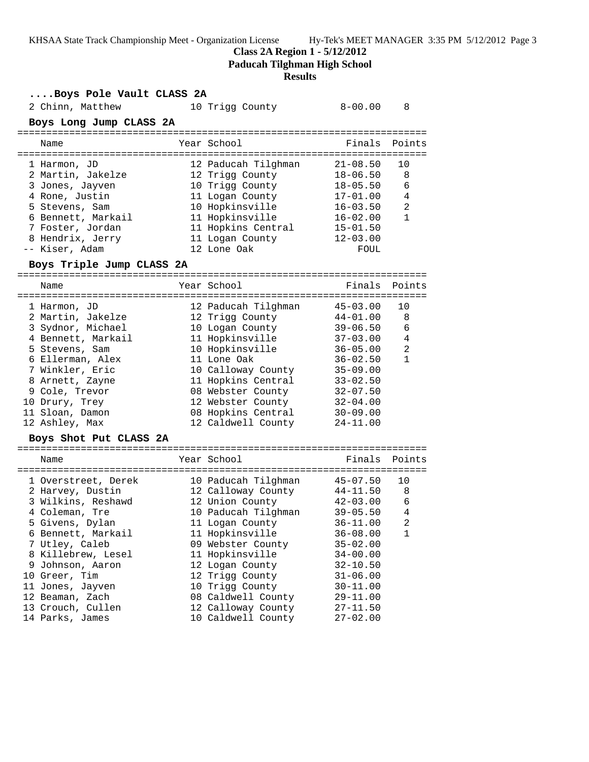## **Class 2A Region 1 - 5/12/2012**

**Paducah Tilghman High School**

#### **Results**

**....Boys Pole Vault CLASS 2A**

| .2010 1010 .0010 .0010 <b>.</b> |                     |              |                |
|---------------------------------|---------------------|--------------|----------------|
| 2 Chinn, Matthew                | 10 Trigg County     | $8 - 00.00$  | 8              |
| Boys Long Jump CLASS 2A         |                     |              |                |
| Name                            | Year School         | Finals       | Points         |
|                                 |                     |              |                |
| 1 Harmon, JD                    | 12 Paducah Tilghman | $21 - 08.50$ | 10             |
| 2 Martin, Jakelze               | 12 Trigg County     | $18 - 06.50$ | 8              |
| 3 Jones, Jayven                 | 10 Trigg County     | $18 - 05.50$ | 6              |
| 4 Rone, Justin                  | 11 Logan County     | $17 - 01.00$ | 4              |
| 5 Stevens, Sam                  | 10 Hopkinsville     | $16 - 03.50$ | 2              |
| 6 Bennett, Markail              | 11 Hopkinsville     | $16 - 02.00$ | $\mathbf{1}$   |
| 7 Foster, Jordan                | 11 Hopkins Central  | $15 - 01.50$ |                |
| 8 Hendrix, Jerry                | 11 Logan County     | $12 - 03.00$ |                |
| -- Kiser, Adam                  | 12 Lone Oak         | FOUL         |                |
| Boys Triple Jump CLASS 2A       |                     |              |                |
| Name                            | Year School         | Finals       | Points         |
|                                 |                     |              |                |
| 1 Harmon, JD                    | 12 Paducah Tilghman | $45 - 03.00$ | 10             |
| 2 Martin, Jakelze               | 12 Trigg County     | $44 - 01.00$ | 8              |
| 3 Sydnor, Michael               | 10 Logan County     | $39 - 06.50$ | 6              |
| 4 Bennett, Markail              | 11 Hopkinsville     | $37 - 03.00$ | $\overline{4}$ |
| 5 Stevens, Sam                  | 10 Hopkinsville     | $36 - 05.00$ | 2              |
| 6 Ellerman, Alex                | 11 Lone Oak         | $36 - 02.50$ | $\mathbf{1}$   |
| 7 Winkler, Eric                 | 10 Calloway County  | $35 - 09.00$ |                |
| 8 Arnett, Zayne                 | 11 Hopkins Central  | $33 - 02.50$ |                |
| 9 Cole, Trevor                  | 08 Webster County   | $32 - 07.50$ |                |
| 10 Drury, Trey                  | 12 Webster County   | $32 - 04.00$ |                |
| 11 Sloan, Damon                 | 08 Hopkins Central  | $30 - 09.00$ |                |
| 12 Ashley, Max                  | 12 Caldwell County  | $24 - 11.00$ |                |
| Boys Shot Put CLASS 2A          |                     |              |                |
| Name                            | Year School         | Finals       | Points         |
|                                 |                     |              |                |
| 1 Overstreet, Derek             | 10 Paducah Tilghman | $45 - 07.50$ | 10             |
| 2 Harvey, Dustin                | 12 Calloway County  | 44-11.50     | 8              |
| 3 Wilkins, Reshawd              | 12 Union County     | 42-03.00     | - 6            |
| 4 Coleman, Tre                  | 10 Paducah Tilghman | $39 - 05.50$ | $\overline{4}$ |
| 5 Givens, Dylan                 | 11 Logan County     | $36 - 11.00$ | 2              |
| 6 Bennett, Markail              | 11 Hopkinsville     | $36 - 08.00$ | 1              |
| 7 Utley, Caleb                  | 09 Webster County   | $35 - 02.00$ |                |
| 8 Killebrew, Lesel              | 11 Hopkinsville     | $34 - 00.00$ |                |
| 9 Johnson, Aaron                | 12 Logan County     | $32 - 10.50$ |                |
| 10 Greer, Tim                   | 12 Trigg County     | $31 - 06.00$ |                |
| 11 Jones, Jayven                | 10 Trigg County     | $30 - 11.00$ |                |
| 12 Beaman, Zach                 | 08 Caldwell County  | $29 - 11.00$ |                |
| 13 Crouch, Cullen               | 12 Calloway County  | $27 - 11.50$ |                |
| 14 Parks, James                 | 10 Caldwell County  | $27 - 02.00$ |                |